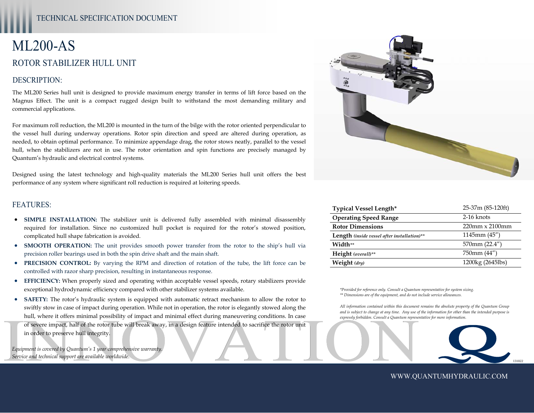# ML200-AS ROTOR STABILIZER HULL UNIT

## DESCRIPTION:

The ML200 Series hull unit is designed to provide maximum energy transfer in terms of lift force based on the Magnus Effect. The unit is a compact rugged design built to withstand the most demanding military and commercial applications.

For maximum roll reduction, the ML200 is mounted in the turn of the bilge with the rotor oriented perpendicular to the vessel hull during underway operations. Rotor spin direction and speed are altered during operation, as needed, to obtain optimal performance. To minimize appendage drag, the rotor stows neatly, parallel to the vessel hull, when the stabilizers are not in use. The rotor orientation and spin functions are precisely managed by Quantum's hydraulic and electrical control systems.

Designed using the latest technology and high-quality materials the ML200 Series hull unit offers the best performance of any system where significant roll reduction is required at loitering speeds.

#### FEATURES:

- **SIMPLE INSTALLATION:** The stabilizer unit is delivered fully assembled with minimal disassembly required for installation. Since no customized hull pocket is required for the rotor's stowed position, complicated hull shape fabrication is avoided.
- **SMOOTH OPERATION:** The unit provides smooth power transfer from the rotor to the ship's hull via precision roller bearings used in both the spin drive shaft and the main shaft.
- **PRECISION CONTROL:** By varying the RPM and direction of rotation of the tube, the lift force can be controlled with razor sharp precision, resulting in instantaneous response.
- **EFFICIENCY:** When properly sized and operating within acceptable vessel speeds, rotary stabilizers provide exceptional hydrodynamic efficiency compared with other stabilizer systems available.
- Of severe impact, half of the rotor tube will break away, in a design feature intended to sacrifice the rotor unit<br>in order to preserve hull integrity.<br>Equipment is covered by Quantum's 1 year comprehensive warranty,<br>Servi **SAFETY:** The rotor's hydraulic system is equipped with automatic retract mechanism to allow the rotor to swiftly stow in case of impact during operation. While not in operation, the rotor is elegantly stowed along the hull, where it offers minimal possibility of impact and minimal effect during maneuvering conditions. In case in order to preserve hull integrity.

*Equipment is covered by Quantum's 1 year comprehensive warranty. Service and technical support are available worldwide.* 



| <b>Typical Vessel Length*</b>                      | 25-37m (85-120ft)         |
|----------------------------------------------------|---------------------------|
| <b>Operating Speed Range</b>                       | $2-16$ knots              |
| <b>Rotor Dimensions</b>                            | $220$ mm $\times 2100$ mm |
| <b>Length</b> (inside vessel after installation)** | $1145$ mm $(45'')$        |
| Width**                                            | 570mm (22.4")             |
| Height (overall)**                                 | 750mm (44")               |
| Weight (dry)                                       | 1200kg (2645lbs)          |

*\*Provided for reference only. Consult a Quantum representative for system sizing. \*\* Dimensions are of the equipment, and do not include service allowances.* 

*All information contained within this document remains the absolute property of the Quantum Group and is subject to change at any time. Any use of the information for other than the intended purpose is expressly forbidden. Consult a Quantum representative for more information.* 



WWW.QUANTUMHYDRAULIC.COM